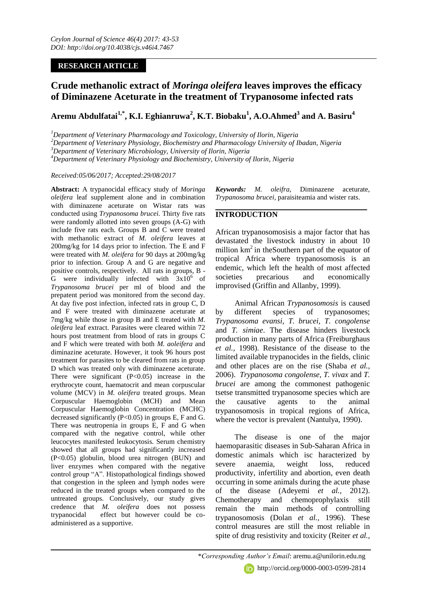# **RESEARCH ARTICLE**

# **Crude methanolic extract of** *Moringa oleifera* **leaves improves the efficacy of Diminazene Aceturate in the treatment of Trypanosome infected rats**

# **Aremu Abdulfatai1,\* , K.I. Eghianruwa<sup>2</sup> , K.T. Biobaku<sup>1</sup> , A.O.Ahmed<sup>3</sup> and A. Basiru<sup>4</sup>**

*<sup>1</sup>Department of Veterinary Pharmacology and Toxicology, University of Ilorin, Nigeria* 

*<sup>2</sup>Department of Veterinary Physiology, Biochemistry and Pharmacology University of Ibadan, Nigeria*

*<sup>3</sup>Department of Veterinary Microbiology, University of Ilorin, Nigeria*

*<sup>4</sup>Department of Veterinary Physiology and Biochemistry, University of Ilorin, Nigeria*

*Received:05/06/2017; Accepted:29/08/2017*

**Abstract:** A trypanocidal efficacy study of *Moringa oleifera* leaf supplement alone and in combination with diminazene aceturate on Wistar rats was conducted using *Trypanosoma brucei*. Thirty five rats were randomly allotted into seven groups (A-G) with include five rats each. Groups B and C were treated with methanolic extract of *M. oleifera* leaves at 200mg/kg for 14 days prior to infection. The E and F were treated with *M. oleifera* for 90 days at 200mg/kg prior to infection. Group A and G are negative and positive controls, respectively. All rats in groups, B - G were individually infected with  $3x10^6$  of *Trypanosoma brucei* per ml of blood and the prepatent period was monitored from the second day. At day five post infection, infected rats in group C, D and F were treated with diminazene aceturate at 7mg/kg while those in group B and E treated with *M. oleifera* leaf extract. Parasites were cleared within 72 hours post treatment from blood of rats in groups C and F which were treated with both *M. aoleifera* and diminazine aceturate. However, it took 96 hours post treatment for parasites to be cleared from rats in group D which was treated only with diminazene aceturate. There were significant  $(P<0.05)$  increase in the erythrocyte count, haematocrit and mean corpuscular volume (MCV) in *M. oleifera* treated groups. Mean Corpuscular Haemoglobin (MCH) and Mean Corpuscular Haemoglobin Concentration (MCHC) decreased significantly  $(P<0.05)$  in groups E, F and G. There was neutropenia in groups E, F and G when compared with the negative control, while other leucocytes manifested leukocytosis. Serum chemistry showed that all groups had significantly increased (P<0.05) globulin, blood urea nitrogen (BUN) and liver enzymes when compared with the negative control group "A". Histopathological findings showed that congestion in the spleen and lymph nodes were reduced in the treated groups when compared to the untreated groups. Conclusively, our study gives credence that *M. oleifera* does not possess trypanocidal effect but however could be coadministered as a supportive.

*Keywords: M. oleifra,* Diminazene aceturate, *Trypanosoma brucei,* paraisiteamia and wister rats.

## **INTRODUCTION**

African trypanosomosisis a major factor that has devastated the livestock industry in about 10 million  $km<sup>2</sup>$  in the Southern part of the equator of tropical Africa where trypanosomosis is an endemic, which left the health of most affected societies precarious and economically improvised (Griffin and Allanby, 1999).

Animal African *Trypanosomosis* is caused by different species of trypanosomes; *Trypanosoma evansi, T. brucei, T. congolense* and *T. simiae*. The disease hinders livestock production in many parts of Africa (Freiburghaus *et al.,* 1998). Resistance of the disease to the limited available trypanocides in the fields, clinic and other places are on the rise (Shaba *et al.,* 2006). *Trypanosoma congolense, T. vivax* and *T. brucei* are among the commonest pathogenic tsetse transmitted trypanosome species which are the causative agents to the animal trypanosomosis in tropical regions of Africa, where the vector is prevalent (Nantulya, 1990).

The disease is one of the major haemoparasitic diseases in Sub-Saharan Africa in domestic animals which isc haracterized by severe anaemia, weight loss, reduced productivity, infertility and abortion, even death occurring in some animals during the acute phase of the disease (Adeyemi *et al.,* 2012). Chemotherapy and chemoprophylaxis still remain the main methods of controlling trypanosomosis (Dolan *et al.,* 1996). These control measures are still the most reliable in spite of drug resistivity and toxicity (Reiter *et al.,*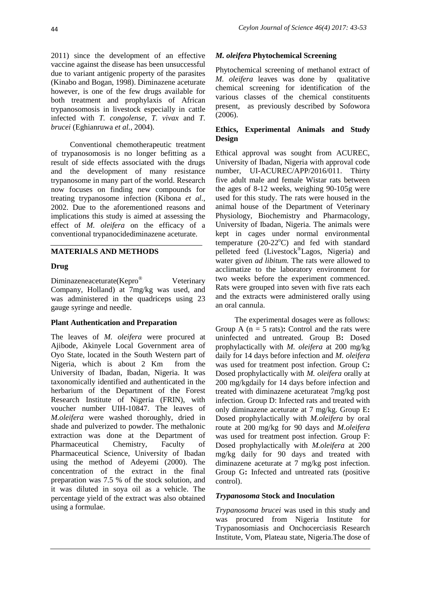2011) since the development of an effective vaccine against the disease has been unsuccessful due to variant antigenic property of the parasites (Kinabo and Bogan, 1998). Diminazene aceturate however, is one of the few drugs available for both treatment and prophylaxis of African trypanosomosis in livestock especially in cattle infected with *T. congolense, T. vivax* and *T. brucei* (Eghianruwa *et al.,* 2004).

Conventional chemotherapeutic treatment of trypanosomosis is no longer befitting as a result of side effects associated with the drugs and the development of many resistance trypanosome in many part of the world. Research now focuses on finding new compounds for treating trypanosome infection (Kibona *et al.,* 2002. Due to the aforementioned reasons and implications this study is aimed at assessing the effect of *M. oleifera* on the efficacy of a conventional trypanocidediminazene aceturate.

### **MATERIALS AND METHODS**

#### **Drug**

Diminazeneaceturate(Kepro® Veterinary Company, Holland) at 7mg/kg was used, and was administered in the quadriceps using 23 gauge syringe and needle.

#### **Plant Authentication and Preparation**

The leaves of *M. oleifera* were procured at Ajibode, Akinyele Local Government area of Oyo State, located in the South Western part of Nigeria, which is about 2 Km from the University of Ibadan, Ibadan, Nigeria. It was taxonomically identified and authenticated in the herbarium of the Department of the Forest Research Institute of Nigeria (FRIN), with voucher number UIH-10847. The leaves of *M.oleifera* were washed thoroughly, dried in shade and pulverized to powder. The methalonic extraction was done at the Department of Pharmaceutical Chemistry, Faculty of Pharmaceutical Science, University of Ibadan using the method of Adeyemi (2000). The concentration of the extract in the final preparation was 7.5 % of the stock solution, and it was diluted in soya oil as a vehicle. The percentage yield of the extract was also obtained using a formulae.

#### *M. oleifera* **Phytochemical Screening**

Phytochemical screening of methanol extract of *M. oleifera* leaves was done by qualitative chemical screening for identification of the various classes of the chemical constituents present, as previously described by Sofowora (2006).

### **Ethics, Experimental Animals and Study Design**

Ethical approval was sought from ACUREC, University of Ibadan, Nigeria with approval code number, UI-ACUREC/APP/2016/011. Thirty five adult male and female Wistar rats between the ages of 8-12 weeks, weighing 90-105g were used for this study. The rats were housed in the animal house of the Department of Veterinary Physiology, Biochemistry and Pharmacology, University of Ibadan, Nigeria. The animals were kept in cages under normal environmental temperature  $(20-22^{\circ}C)$  and fed with standard pelleted feed (Livestock®Lagos, Nigeria) and water given *ad libitum.* The rats were allowed to acclimatize to the laboratory environment for two weeks before the experiment commenced. Rats were grouped into seven with five rats each and the extracts were administered orally using an oral cannula.

The experimental dosages were as follows: Group A ( $n = 5$  rats): Control and the rats were uninfected and untreated. Group B**:** Dosed prophylactically with *M. oleifera* at 200 mg/kg daily for 14 days before infection and *M. oleifera* was used for treatment post infection. Group C**:**  Dosed prophylactically with *M. oleifera* orally at 200 mg/kgdaily for 14 days before infection and treated with diminazene aceturateat 7mg/kg post infection. Group D: Infected rats and treated with only diminazene aceturate at 7 mg/kg. Group E**:**  Dosed prophylactically with *M.oleifera* by oral route at 200 mg/kg for 90 days and *M.oleifera* was used for treatment post infection. Group F: Dosed prophylactically with *M.oleifera* at 200 mg/kg daily for 90 days and treated with diminazene aceturate at 7 mg/kg post infection. Group G**:** Infected and untreated rats (positive control).

#### *Trypanosoma* **Stock and Inoculation**

*Trypanosoma brucei* was used in this study and was procured from Nigeria Institute for Trypanosomiasis and Onchocerciasis Research Institute, Vom, Plateau state, Nigeria.The dose of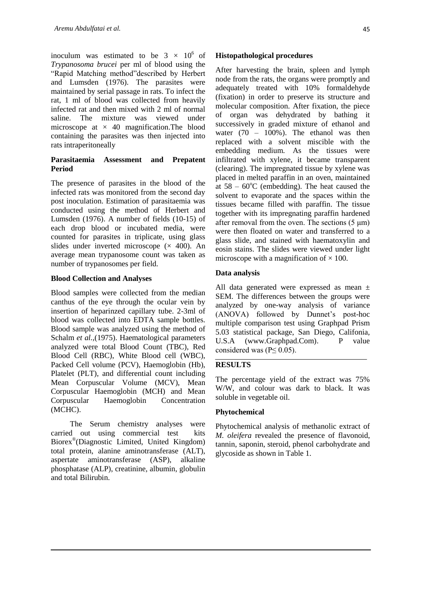inoculum was estimated to be  $3 \times 10^6$  of *Trypanosoma brucei* per ml of blood using the "Rapid Matching method"described by Herbert and Lumsden (1976). The parasites were maintained by serial passage in rats. To infect the rat, 1 ml of blood was collected from heavily infected rat and then mixed with 2 ml of normal saline. The mixture was viewed under microscope at  $\times$  40 magnification. The blood containing the parasites was then injected into rats intraperitoneally

### **Parasitaemia Assessment and Prepatent Period**

The presence of parasites in the blood of the infected rats was monitored from the second day post inoculation. Estimation of parasitaemia was conducted using the method of Herbert and Lumsden (1976). A number of fields (10-15) of each drop blood or incubated media, were counted for parasites in triplicate, using glass slides under inverted microscope  $(x 400)$ . An average mean trypanosome count was taken as number of trypanosomes per field.

### **Blood Collection and Analyses**

Blood samples were collected from the median canthus of the eye through the ocular vein by insertion of heparinzed capillary tube. 2-3ml of blood was collected into EDTA sample bottles. Blood sample was analyzed using the method of Schalm *et al.,*(1975). Haematological parameters analyzed were total Blood Count (TBC), Red Blood Cell (RBC), White Blood cell (WBC), Packed Cell volume (PCV), Haemoglobin (Hb), Platelet (PLT), and differential count including Mean Corpuscular Volume (MCV), Mean Corpuscular Haemoglobin (MCH) and Mean Corpuscular Haemoglobin Concentration (MCHC).

The Serum chemistry analyses were carried out using commercial test kits Biorex® (Diagnostic Limited, United Kingdom) total protein, alanine aminotransferase (ALT), aspertate aminotransferase (ASP), alkaline phosphatase (ALP), creatinine, albumin, globulin and total Bilirubin.

#### **Histopathological procedures**

After harvesting the brain, spleen and lymph node from the rats, the organs were promptly and adequately treated with 10% formaldehyde (fixation) in order to preserve its structure and molecular composition. After fixation, the piece of organ was dehydrated by bathing it successively in graded mixture of ethanol and water  $(70 - 100\%)$ . The ethanol was then replaced with a solvent miscible with the embedding medium. As the tissues were infiltrated with xylene, it became transparent (clearing). The impregnated tissue by xylene was placed in melted paraffin in an oven, maintained at  $58 - 60^{\circ}$ C (embedding). The heat caused the solvent to evaporate and the spaces within the tissues became filled with paraffin. The tissue together with its impregnating paraffin hardened after removal from the oven. The sections (5 μm) were then floated on water and transferred to a glass slide, and stained with haematoxylin and eosin stains. The slides were viewed under light microscope with a magnification of  $\times$  100.

### **Data analysis**

All data generated were expressed as mean ± SEM. The differences between the groups were analyzed by one-way analysis of variance (ANOVA) followed by Dunnet's post-hoc multiple comparison test using Graphpad Prism 5.03 statistical package, San Diego, Califonia, U.S.A (www.Graphpad.Com). P value considered was ( $P \leq 0.05$ ).

# **RESULTS**

The percentage yield of the extract was 75% W/W, and colour was dark to black. It was soluble in vegetable oil.

### **Phytochemical**

Phytochemical analysis of methanolic extract of *M. oleifera* revealed the presence of flavonoid, tannin, saponin, steroid, phenol carbohydrate and glycoside as shown in Table 1.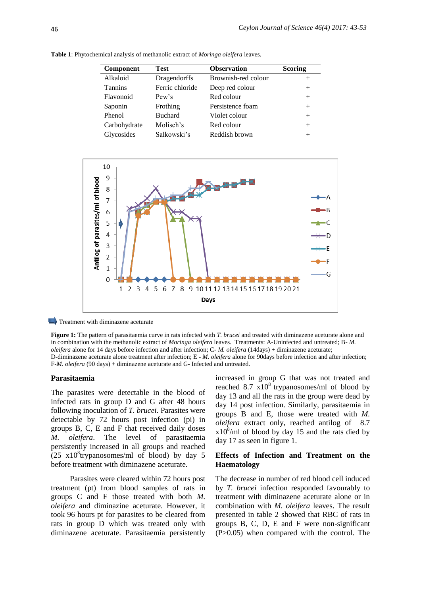| <b>Component</b> | Test            | <b>Observation</b>  | <b>Scoring</b> |
|------------------|-----------------|---------------------|----------------|
| Alkaloid         | Dragendorffs    | Brownish-red colour | $^+$           |
| <b>Tannins</b>   | Ferric chloride | Deep red colour     | $^{+}$         |
| Flavonoid        | Pew's           | Red colour          | $^{+}$         |
| Saponin          | Frothing        | Persistence foam    | $^{+}$         |
| Phenol           | <b>Buchard</b>  | Violet colour       | $^{+}$         |
| Carbohydrate     | Molisch's       | Red colour          | $^{+}$         |
| Glycosides       | Salkowski's     | Reddish brown       |                |

**Table 1**: Phytochemical analysis of methanolic extract of *Moringa oleifera* leaves.



 $\longrightarrow$  Treatment with diminazene aceturate

**Figure 1:** The pattern of parasitaemia curve in rats infected with *T. brucei* and treated with diminazene aceturate alone and in combination with the methanolic extract of *Moringa oleifera* leaves. Treatments: A-Uninfected and untreated; B- *M. oleifera* alone for 14 days before infection and after infection; C- *M. oleifera* (14days) + diminazene aceturate; D-diminazene aceturate alone treatment after infection; E - *M. oleifera* alone for 90days before infection and after infection; F-*M. oleifera* (90 days) + diminazene aceturate and G- Infected and untreated.

#### **Parasitaemia**

The parasites were detectable in the blood of infected rats in group D and G after 48 hours following inoculation of *T. brucei.* Parasites were detectable by 72 hours post infection (pi) in groups B, C, E and F that received daily doses *M. oleifera*. The level of parasitaemia persistently increased in all groups and reached  $(25 \times 10^8$ trypanosomes/ml of blood) by day 5 before treatment with diminazene aceturate.

Parasites were cleared within 72 hours post treatment (pt) from blood samples of rats in groups C and F those treated with both *M. oleifera* and diminazine aceturate. However, it took 96 hours pt for parasites to be cleared from rats in group D which was treated only with diminazene aceturate. Parasitaemia persistently increased in group G that was not treated and reached 8.7  $x10^8$  trypanosomes/ml of blood by day 13 and all the rats in the group were dead by day 14 post infection. Similarly, parasitaemia in groups B and E, those were treated with *M. oleifera* extract only, reached antilog of 8.7  $x10<sup>8</sup>/ml$  of blood by day 15 and the rats died by day 17 as seen in figure 1.

#### **Effects of Infection and Treatment on the Haematology**

The decrease in number of red blood cell induced by *T. brucei* infection responded favourably to treatment with diminazene aceturate alone or in combination with *M. oleifera* leaves. The result presented in table 2 showed that RBC of rats in groups B, C, D, E and F were non-significant (P>0.05) when compared with the control. The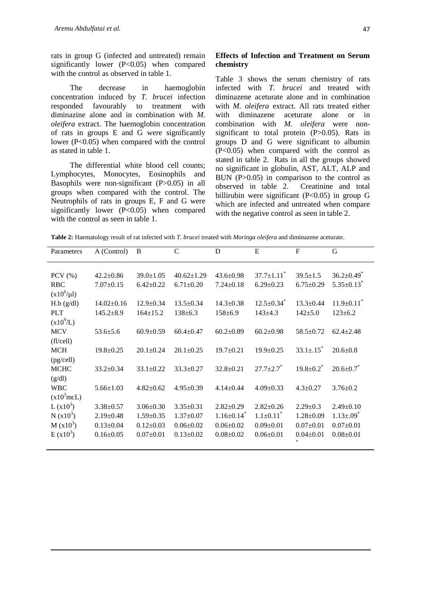rats in group G (infected and untreated) remain significantly lower (P<0.05) when compared with the control as observed in table 1.

The decrease in haemoglobin concentration induced by *T. brucei* infection responded favourably to treatment with diminazine alone and in combination with *M. oleifera* extract. The haemoglobin concentration of rats in groups E and G were significantly lower (P<0.05) when compared with the control as stated in table 1.

The differential white blood cell counts; Lymphocytes, Monocytes, Eosinophils and Basophils were non-significant (P>0.05) in all groups when compared with the control. The Neutrophils of rats in groups E, F and G were significantly lower  $(P<0.05)$  when compared with the control as seen in table 1.

### **Effects of Infection and Treatment on Serum chemistry**

Table 3 shows the serum chemistry of rats infected with *T. brucei* and treated with diminazene aceturate alone and in combination with *M. oleifera* extract. All rats treated either with diminazene aceturate alone or in combination with *M. oleifera* were nonsignificant to total protein  $(P>0.05)$ . Rats in groups D and G were significant to albumin (P<0.05) when compared with the control as stated in table 2. Rats in all the groups showed no significant in globulin, AST, ALT, ALP and BUN (P>0.05) in comparison to the control as observed in table 2. Creatinine and total billirubin were significant  $(P<0.05)$  in group G which are infected and untreated when compare with the negative control as seen in table 2.

**Table 2:** Haematology result of rat infected with *T. brucei* treated with *Moringa oleifera* and diminazene aceturate.

| Parameters            | A (Control)      | B               | $\overline{C}$   | D                            | ${\bf E}$                    | $\mathbf F$                 | G                            |
|-----------------------|------------------|-----------------|------------------|------------------------------|------------------------------|-----------------------------|------------------------------|
|                       |                  |                 |                  |                              |                              |                             |                              |
| PCV $(\% )$           | $42.2 \pm 0.86$  | $39.0 \pm 1.05$ | $40.62 \pm 1.29$ | $43.6 \pm 0.98$              | $37.7 \pm 1.11$ <sup>*</sup> | $39.5 \pm 1.5$              | $36.2 \pm 0.49$ <sup>*</sup> |
| <b>RBC</b>            | $7.07 \pm 0.15$  | $6.42 \pm 0.22$ | $6.71 \pm 0.20$  | $7.24 \pm 0.18$              | $6.29 \pm 0.23$              | $6.75 \pm 0.29$             | $5.35 \pm 0.13$ <sup>*</sup> |
| $(x10^6/\mu l)$       |                  |                 |                  |                              |                              |                             |                              |
| H.b (g/dl)            | $14.02 \pm 0.16$ | $12.9 \pm 0.34$ | $13.5 \pm 0.34$  | $14.3 \pm 0.38$              | $12.5 \pm 0.34$ <sup>*</sup> | $13.3+0.44$                 | $11.9 \pm 0.11$ <sup>*</sup> |
| <b>PLT</b>            | $145.2 \pm 8.9$  | $164 \pm 15.2$  | $138 \pm 6.3$    | $158 \pm 6.9$                | $143 \pm 4.3$                | $142 \pm 5.0$               | $123 \pm 6.2$                |
| $(x10^{9}/L)$         |                  |                 |                  |                              |                              |                             |                              |
| <b>MCV</b>            | $53.6 \pm 5.6$   | $60.9 \pm 0.59$ | $60.4 \pm 0.47$  | $60.2 \pm 0.89$              | $60.2 \pm 0.98$              | $58.5 \pm 0.72$             | $62.4 \pm 2.48$              |
| (f]/cell)             |                  |                 |                  |                              |                              |                             |                              |
| <b>MCH</b>            | $19.8 \pm 0.25$  | $20.1 \pm 0.24$ | $20.1 \pm 0.25$  | $19.7 \pm 0.21$              | $19.9 \pm 0.25$              | $33.1 \pm .15$ <sup>*</sup> | $20.6 \pm 0.8$               |
| (pg/cell)             |                  |                 |                  |                              |                              |                             |                              |
| <b>MCHC</b>           | $33.2 \pm 0.34$  | $33.1 \pm 0.22$ | $33.3 \pm 0.27$  | $32.8 \pm 0.21$              | $27.7+2.7$ <sup>*</sup>      | $19.8 \pm 0.2$ <sup>*</sup> | $20.6 \pm 0.7$               |
| (g/dl)                |                  |                 |                  |                              |                              |                             |                              |
| <b>WBC</b>            | $5.66 \pm 1.03$  | $4.82 \pm 0.62$ | $4.95 \pm 0.39$  | $4.14 \pm 0.44$              | $4.09 \pm 0.33$              | $4.3 \pm 0.27$              | $3.76 \pm 0.2$               |
| $(x10^3mcL)$          |                  |                 |                  |                              |                              |                             |                              |
| L $(x10^3)$           | $3.38 \pm 0.57$  | $3.06 \pm 0.30$ | $3.35 \pm 0.31$  | $2.82 \pm 0.29$              | $2.82 \pm 0.26$              | $2.29 \pm 0.3$              | $2.49 \pm 0.10$              |
| $N(x10^3)$            | $2.19 \pm 0.48$  | $1.59 \pm 0.35$ | $1.37 \pm 0.07$  | $1.16 \pm 0.14$ <sup>*</sup> | $1.1 \pm 0.11$ <sup>*</sup>  | $1.28 \pm 0.09$             | $1.13 \pm .09$ <sup>*</sup>  |
| M (x10 <sup>3</sup> ) | $0.13 \pm 0.04$  | $0.12 \pm 0.03$ | $0.06 \pm 0.02$  | $0.06 \pm 0.02$              | $0.09 \pm 0.01$              | $0.07 \pm 0.01$             | $0.07 \pm 0.01$              |
| $E(x10^3)$            | $0.16 \pm 0.05$  | $0.07 \pm 0.01$ | $0.13 \pm 0.02$  | $0.08 + 0.02$                | $0.06 \pm 0.01$              | $0.04 \pm 0.01$             | $0.08 \pm 0.01$              |
|                       |                  |                 |                  |                              |                              |                             |                              |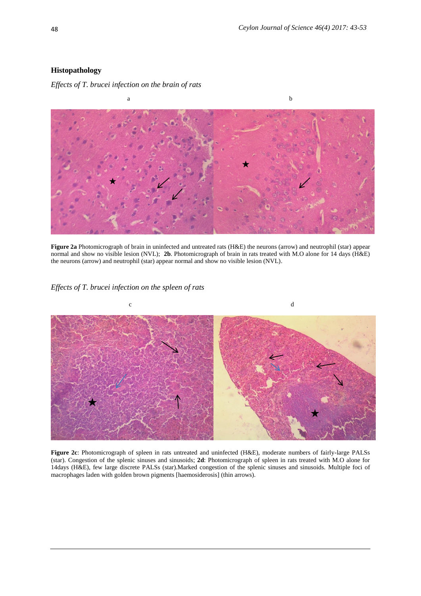### **Histopathology**

*Effects of T. brucei infection on the brain of rats*



**Figure 2a** Photomicrograph of brain in uninfected and untreated rats (H&E) the neurons (arrow) and neutrophil (star) appear normal and show no visible lesion (NVL); **2b**. Photomicrograph of brain in rats treated with M.O alone for 14 days (H&E) the neurons (arrow) and neutrophil (star) appear normal and show no visible lesion (NVL).

### *Effects of T. brucei infection on the spleen of rats*



**Figure 2c**: Photomicrograph of spleen in rats untreated and uninfected (H&E), moderate numbers of fairly-large PALSs (star). Congestion of the splenic sinuses and sinusoids; **2d**: Photomicrograph of spleen in rats treated with M.O alone for 14days (H&E), few large discrete PALSs (star).Marked congestion of the splenic sinuses and sinusoids. Multiple foci of macrophages laden with golden brown pigments [haemosiderosis] (thin arrows).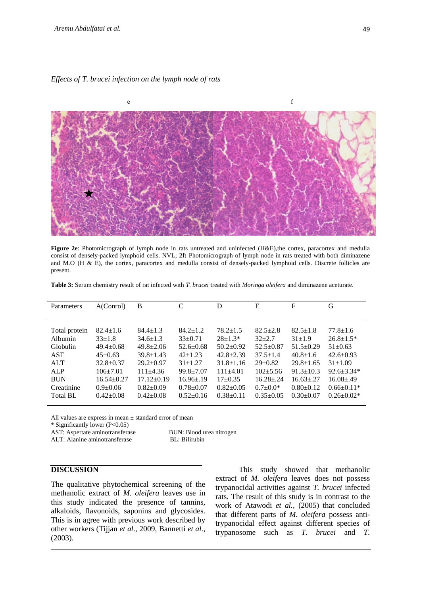*Effects of T. brucei infection on the lymph node of rats*



**Figure 2e**: Photomicrograph of lymph node in rats untreated and uninfected (H&E),the cortex, paracortex and medulla consist of densely-packed lymphoid cells. NVL; **2f:** Photomicrograph of lymph node in rats treated with both diminazene and M.O (H & E), the cortex, paracortex and medulla consist of densely-packed lymphoid cells. Discrete follicles are present.

**Table 3:** Serum chemistry result of rat infected with *T. brucei* treated with *Moringa oleifera* and diminazene aceturate.

| Parameters      | A(Conrol)        | B                | $\mathcal{C}$    | D               | E               | F               | G                |
|-----------------|------------------|------------------|------------------|-----------------|-----------------|-----------------|------------------|
|                 |                  |                  |                  |                 |                 |                 |                  |
|                 |                  |                  |                  |                 |                 |                 |                  |
|                 |                  |                  |                  |                 |                 |                 |                  |
| Total protein   | $82.4 \pm 1.6$   | $84.4 \pm 1.3$   | $84.2 \pm 1.2$   | $78.2 \pm 1.5$  | $82.5 + 2.8$    | $82.5 \pm 1.8$  | $77.8 \pm 1.6$   |
| Albumin         | $33+1.8$         | $34.6 \pm 1.3$   | $33+0.71$        | $28+1.3*$       | $32 + 2.7$      | $31 \pm 1.9$    | $26.8 \pm 1.5*$  |
| Globulin        | $49.4 \pm 0.68$  | $49.8 \pm 2.06$  | $52.6 \pm 0.68$  | $50.2+0.92$     | $52.5 \pm 0.87$ | $51.5 \pm 0.29$ | $51 \pm 0.63$    |
| <b>AST</b>      | $45+0.63$        | $39.8 \pm 1.43$  | $42+1.23$        | $42.8 \pm 2.39$ | $37.5 \pm 1.4$  | $40.8 \pm 1.6$  | $42.6 \pm 0.93$  |
| <b>ALT</b>      | $32.8 \pm 0.37$  | $29.2 \pm 0.97$  | $31 + 1.27$      | $31.8 \pm 1.16$ | $29+0.82$       | $29.8 \pm 1.65$ | $31 \pm 1.09$    |
| ALP             | $106+7.01$       | $111+4.36$       | $99.8 + 7.07$    | $111+4.01$      | $102 + 5.56$    | $91.3 \pm 10.3$ | $92.6 \pm 3.34*$ |
| <b>BUN</b>      | $16.54 \pm 0.27$ | $17.12 \pm 0.19$ | $16.96 \pm 0.19$ | $17+0.35$       | $16.28 \pm .24$ | $16.63 \pm .27$ | $16.08{\pm}.49$  |
| Creatinine      | $0.9 + 0.06$     | $0.82 \pm 0.09$  | $0.78 + 0.07$    | $0.82 \pm 0.05$ | $0.7 \pm 0.0*$  | $0.80 \pm 0.12$ | $0.66 \pm 0.11*$ |
| <b>Total BL</b> | $0.42+0.08$      | $0.42+0.08$      | $0.52 \pm 0.16$  | $0.38+0.11$     | $0.35+0.05$     | $0.30+0.07$     | $0.26 \pm 0.02*$ |
|                 |                  |                  |                  |                 |                 |                 |                  |

All values are express in mean ± standard error of mean

\* Significantly lower (P<0.05)

AST: Aspertate aminotransferase BUN: Blood urea nitrogen

ALT: Alanine aminotransferase BL: Bilirubin

# **DISCUSSION**

The qualitative phytochemical screening of the methanolic extract of *M. oleifera* leaves use in this study indicated the presence of tannins, alkaloids, flavonoids, saponins and glycosides. This is in agree with previous work described by other workers (Tijjan *et al.,* 2009, Bannetti *et al.*, (2003).

 This study showed that methanolic extract of *M. oleifera* leaves does not possess trypanocidal activities against *T. brucei* infected rats. The result of this study is in contrast to the work of Atawodi *et al.,* (2005) that concluded that different parts of *M. oleifera* possess antitrypanocidal effect against different species of trypanosome such as *T. brucei* and *T.*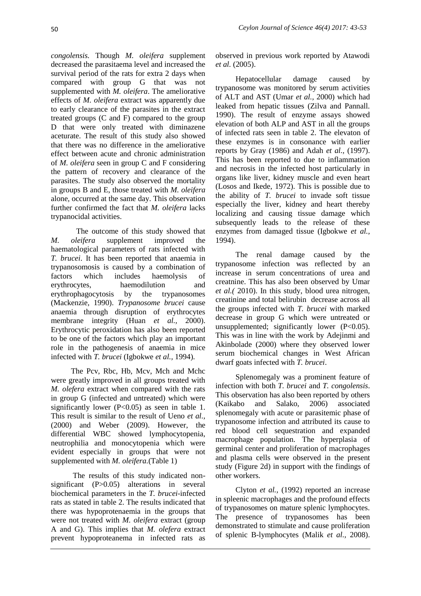*congolensis.* Though *M. oleifera* supplement decreased the parasitaema level and increased the survival period of the rats for extra 2 days when compared with group G that was not supplemented with *M. oleifera*. The ameliorative effects of *M. oleifera* extract was apparently due to early clearance of the parasites in the extract treated groups (C and F) compared to the group D that were only treated with diminazene aceturate. The result of this study also showed that there was no difference in the ameliorative effect between acute and chronic administration of *M. oleifera* seen in group C and F considering the pattern of recovery and clearance of the parasites. The study also observed the mortality in groups B and E, those treated with *M. oleifera* alone, occurred at the same day. This observation further confirmed the fact that *M. oleifera* lacks trypanocidal activities.

 The outcome of this study showed that *M. oleifera* supplement improved the haematological parameters of rats infected with *T. brucei*. It has been reported that anaemia in trypanosomosis is caused by a combination of factors which includes haemolysis of erythrocytes, haemodilution and erythrophagocytosis by the trypanosomes (Mackenzie, 1990). *Trypanosome brucei* cause anaemia through disruption of erythrocytes membrane integrity (Huan *et al.,* 2000). Erythrocytic peroxidation has also been reported to be one of the factors which play an important role in the pathogenesis of anaemia in mice infected with *T. brucei* (Igbokwe *et al.,* 1994).

The Pcv, Rbc, Hb, Mcv, Mch and Mchc were greatly improved in all groups treated with *M. olefera* extract when compared with the rats in group G (infected and untreated) which were significantly lower  $(P<0.05)$  as seen in table 1. This result is similar to the result of Ueno *et al.,* (2000) and Weber (2009). However, the differential WBC showed lymphocytopenia, neutrophilia and monocytopenia which were evident especially in groups that were not supplemented with *M. oleifera.*(Table 1)

The results of this study indicated nonsignificant (P>0.05) alterations in several biochemical parameters in the *T. brucei*-infected rats as stated in table 2. The results indicated that there was hypoprotenaemia in the groups that were not treated with *M. oleifera* extract (group A and G). This implies that *M. olefera* extract prevent hypoproteanema in infected rats as

observed in previous work reported by Atawodi *et al.* (2005).

Hepatocellular damage caused by trypanosome was monitored by serum activities of ALT and AST (Umar *et al.,* 2000) which had leaked from hepatic tissues (Zilva and Pannall. 1990). The result of enzyme assays showed elevation of both ALP and AST in all the groups of infected rats seen in table 2. The elevaton of these enzymes is in consonance with earlier reports by Gray (1986) and Adah *et al.,* (1997). This has been reported to due to inflammation and necrosis in the infected host particularly in organs like liver, kidney muscle and even heart (Losos and Ikede, 1972). This is possible due to the ability of *T. brucei* to invade soft tissue especially the liver, kidney and heart thereby localizing and causing tissue damage which subsequently leads to the release of these enzymes from damaged tissue (Igbokwe *et al.,* 1994).

The renal damage caused by the trypanosome infection was reflected by an increase in serum concentrations of urea and creatnine. This has also been observed by Umar *et al.(* 2010). In this study, blood urea nitrogen, creatinine and total belirubin decrease across all the groups infected with *T. brucei* with marked decrease in group G which were untreated or unsupplemented; significantly lower  $(P<0.05)$ . This was in line with the work by Adejinmi and Akinbolade (2000) where they observed lower serum biochemical changes in West African dwarf goats infected with *T. brucei*.

Splenomegaly was a prominent feature of infection with both *T. brucei* and *T. congolensis*. This observation has also been reported by others (Kaikabo and Salako, 2006) associated splenomegaly with acute or parasitemic phase of trypanosome infection and attributed its cause to red blood cell sequestration and expanded macrophage population. The hyperplasia of germinal center and proliferation of macrophages and plasma cells were observed in the present study (Figure 2d) in support with the findings of other workers.

Clyton *et al.,* (1992) reported an increase in spleenic macrophages and the profound effects of trypanosomes on mature splenic lymphocytes. The presence of trypanosomes has been demonstrated to stimulate and cause proliferation of splenic B-lymphocytes (Malik *et al.,* 2008).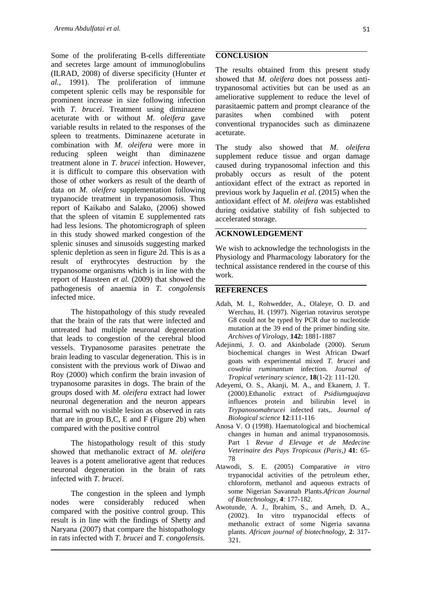Some of the proliferating B-cells differentiate and secretes large amount of immunoglobulins (ILRAD, 2008) of diverse specificity (Hunter *et al.,* 1991). The proliferation of immune competent splenic cells may be responsible for prominent increase in size following infection with *T. brucei*. Treatment using diminazene aceturate with or without *M. oleifera* gave variable results in related to the responses of the spleen to treatments. Diminazene aceturate in combination with *M. oleifera* were more in reducing spleen weight than diminazene treatment alone in *T. brucei* infection. However, it is difficult to compare this observation with those of other workers as result of the dearth of data on *M. oleifera* supplementation following trypanocide treatment in trypanosomosis. Thus report of Kaikabo and Salako, (2006) showed that the spleen of vitamin E supplemented rats had less lesions. The photomicrograph of spleen in this study showed marked congestion of the splenic sinuses and sinusoids suggesting marked splenic depletion as seen in figure 2d. This is as a result of erythrocytes destruction by the trypanosome organisms which is in line with the report of Hausteen *et al.* (2009) that showed the pathogenesis of anaemia in *T. congolensis* infected mice.

The histopathology of this study revealed that the brain of the rats that were infected and untreated had multiple neuronal degeneration that leads to congestion of the cerebral blood vessels. Trypanosome parasites penetrate the brain leading to vascular degeneration. This is in consistent with the previous work of Diwao and Roy (2000) which confirm the brain invasion of trypanosome parasites in dogs. The brain of the groups dosed with *M. oleifera* extract had lower neuronal degeneration and the neuron appears normal with no visible lesion as observed in rats that are in group B,C, E and F (Figure 2b) when compared with the positive control

The histopathology result of this study showed that methanolic extract of *M. oleifera* leaves is a potent ameliorative agent that reduces neuronal degeneration in the brain of rats infected with *T. brucei*.

The congestion in the spleen and lymph nodes were considerably reduced when compared with the positive control group. This result is in line with the findings of Shetty and Naryana (2007) that compare the histopathology in rats infected with *T. brucei* and *T. congolensis.*

#### **CONCLUSION**

The results obtained from this present study showed that *M. oleifera* does not possess antitrypanosomal activities but can be used as an ameliorative supplement to reduce the level of parasitaemic pattern and prompt clearance of the parasites when combined with potent conventional trypanocides such as diminazene aceturate.

The study also showed that *M. oleifera* supplement reduce tissue and organ damage caused during trypanosomal infection and this probably occurs as result of the potent antioxidant effect of the extract as reported in previous work by Jaquelin *et al.* (2015) when the antioxidant effect of *M. oleifera* was established during oxidative stability of fish subjected to accelerated storage.

### **ACKNOWLEDGEMENT**

We wish to acknowledge the technologists in the Physiology and Pharmacology laboratory for the technical assistance rendered in the course of this work.

#### **REFERENCES**

- Adah, M. I., Rohwedder, A., Olaleye, O. D. and Werchau, H. (1997). Nigerian rotavirus serotype G8 could not be typed by PCR due to nucleotide mutation at the 39 end of the primer binding site. *Archives of Virology,* **142:** 1881-1887
- Adejinmi, J. O. and Akinbolade (2000). Serum biochemical changes in West African Dwarf goats with experimental mixed *T. brucei* and *cowdria ruminantum* infection. *Journal of Tropical veterinary science,* **18**(1-2): 111-120.
- Adeyemi, O. S., Akanji, M. A., and Ekanem, J. T. (2000).Ethanolic extract of *Psidiumguajava* influences protein and bilirubin level in *Trypanosomabrucei* infected rats,. *Journal of Biological science* **12**:111-116
- Anosa V. O (1998). Haematological and biochemical changes in human and animal trypanosomosis. Part 1 *Revue d Elevage et de Medecine Veterinaire des Pays Tropicaux (Paris,)* **41**: 65- 78
- Atawodi, S. E. (2005) Comparative *in vitro*  trypanocidal activities of the petroleum ether, chloroform, methanol and aqueous extracts of some Nigerian Savannah Plants.*African Journal of Biotechnology,* **4**: 177-182.
- Awotunde, A. J., Ibrahim, S., and Ameh, D. A., (2002). In vitro trypanocidal effects of methanolic extract of some Nigeria savanna plants. *African journal of biotechnology,* **2**: 317- 321.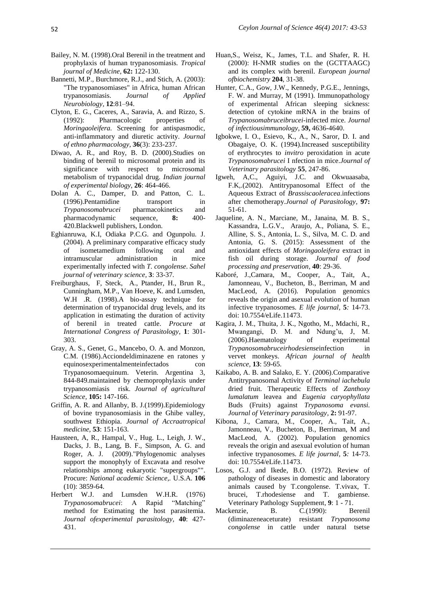- Bailey, N. M. (1998).Oral Berenil in the treatment and prophylaxis of human trypanosomiasis. *Tropical journal of Medicine,* **62:** 122-130.
- Bannetti, M.P., Burchmore, R.J., and Stich, A. (2003): "The trypanosomiases" in Africa, human African trypanosomiasis. *Journal of Applied Neurobiology,* **12**:81–94.
- Clyton, E. G., Caceres, A., Saravia, A. and Rizzo, S. (1992): Pharmacologic properties of *Moringaoleifera.* Screening for antispasmodic, anti-inflammatory and diuretic activity. *Journal of ethno pharmacology,* **36**(3): 233-237.
- Diwao, A. R., and Roy, B. D. (2000).Studies on binding of berenil to microsomal protein and its significance with respect to microsomal metabolism of trypanocidal drug. *Indian journal of experimental biology,* **26**: 464-466.
- Dolan A. C., Damper, D. and Patton, C. L. (1996).Pentamidine transport in *Trypanosomabrucei* pharmacokinetics and pharmacodynamic sequence, **8:** 400- 420.Blackwell publishers, London.
- Eghianruwa, K.I, Odiaka P.C.G. and Ogunpolu. J. (2004). A preliminary comparative efficacy study of isometamedium following oral and intramuscular administration in mice experimentally infected with *T. congolense*. *Sahel journal of veterinary science,* **3**: 33-37.
- Freiburghaus, F, Steck, A., Ptander, H., Brun R., Cunningham, M.P., Van Hoeve, K. and Lumsden, W.H .R. (1998).A bio-assay technique for determination of trypanocidal drug levels, and its application in estimating the duration of activity of berenil in treated cattle. *Procure at International Congress of Parasitology,* **1**: 301- 303.
- Gray, A. S., Genet, G., Mancebo, O. A. and Monzon, C.M. (1986).Acciondeldiminazene en ratones y equinosexperimentalmenteinfectados con Trypanosomaequinum. Veterin. Argentina 3, 844-849.maintained by chemoprophylaxis under trypanosomiasis risk. *Journal of agricultural Science,* **105:** 147-166.
- Griffin, A. R. and Allanby, B. J.(1999).Epidemiology of bovine trypanosomiasis in the Ghibe valley, southwest Ethiopia. *Journal of Accraatropical medicine,* **53**: 151-163.
- Hausteen, A, R., Hampal, V., Hug. L., Leigh, J. W., Dacks, J. B., Lang, B. F., Simpson, A. G. and Roger, A. J. (2009)[."Phylogenomic analyses](https://www.ncbi.nlm.nih.gov/pmc/articles/PMC2656170)  [support the monophyly of Excavata and resolve](https://www.ncbi.nlm.nih.gov/pmc/articles/PMC2656170)  [relationships among eukaryotic "supergroups"".](https://www.ncbi.nlm.nih.gov/pmc/articles/PMC2656170) Procure: *National academic Science,.* U.S.A. **106** (10): 3859-64.
- Herbert W.J. and Lumsden W.H.R. (1976) *Trypanosomabrucei*: A Rapid "Matching" method for Estimating the host parasitemia. *Journal ofexperimental parasitology,* **40**: 427- 431.
- Huan,S., Weisz, K., James, T.L. and Shafer, R. H. (2000): H-NMR studies on the (GCTTAAGC) and its complex with berenil. *European journal ofbiochemistry* **204**, 31-38.
- Hunter, C.A., Gow, J.W., Kennedy, P.G.E., Jennings, F. W. and Murray, M (1991). Immunopathology of experimental African sleeping sickness: detection of cytokine mRNA in the brains of *Trypanosomabruceibrucei-*infected mice. *Journal of infectiousimmunology,* **59,** 4636-4640.
- Igbokwe, I. O., Esievo, K., A., N., Saror, D. I. and Obagaiye, O. K. (1994).Increased susceptibility of erythrocytes to *invitro* peroxidation in acute *Trypanosomabrucei* I nfection in mice.*Journal of Veterinary parasitology* **55**, 247-86.
- Igweh, A,C., Aguiyi, J.C. and Okwuaasaba, F.K,.(2002). Antitrypanosomal Effect of the Aqueous Extract of *Brassiscaoleracea*.infections after chemotherapy.*Journal of Parasitology,* **97:** 51-61.
- Jaqueline, A. N., Marciane, M., Janaina, M. B. S., Kassandra, L.G.V., Araujo, A., Poliana, S. E., Alline, S. S., Antonia, L. S., Silva, M. C. D. and Antonia, G. S. (2015): Assessment of the antioxidant effects of *Moringaoleifera* extract in fish oil during storage. *Journal of food processing and preservation,* **40**: 29-36.
- Kaboré, J.,Camara, M., Cooper, A., Tait, A., Jamonneau, V., Bucheton, B., Berriman, M and MacLeod, A. (2016). Population genomics reveals the origin and asexual evolution of human infective trypanosomes. *E life journal,* **5***:* 14-73. doi: 10.7554/eLife.11473.
- Kagira, J. M., Thuita, J. K., Ngotho, M., Mdachi, R., Mwangangi, D. M. and Ndung'u, J, M. (2006).Haematology of experimental *Trypanosomabruceirhodesiense*infection in vervet monkeys. *African journal of health science,* **13**: 59-65.
- Kaikabo, A. B. and Salako, E. Y. (2006).Comparative Antitrypanosomal Activity of *Terminal iachebula* dried fruit. Therapeutic Effects of *Zanthoxy lumalatum* leavea and *Eugenia caryophyllata* Buds (Fruits) against *Trypanosoma evansi. Journal of Veterinary parasitology,* **2:** 91-97.
- Kibona, J., Camara, M., Cooper, A., Tait, A., Jamonneau, V., Bucheton, B., Berriman, M and MacLeod, A. (2002). Population genomics reveals the origin and asexual evolution of human infective trypanosomes. *E life journal,* **5***:* 14-73. doi: 10.7554/eLife.11473.
- Losos, G.J. and Ikede, B.O. (1972). Review of pathology of diseases in domestic and laboratory animals caused by T.congolense. T.vivax, T. brucei, T.rhodesiense and T. gambiense. Veterinary Pathology Supplement, **9**: 1 - 71.
- Mackenzie, B. C.(1990): Berenil (diminazeneaceturate) resistant *Trypanosoma congolense* in cattle under natural tsetse